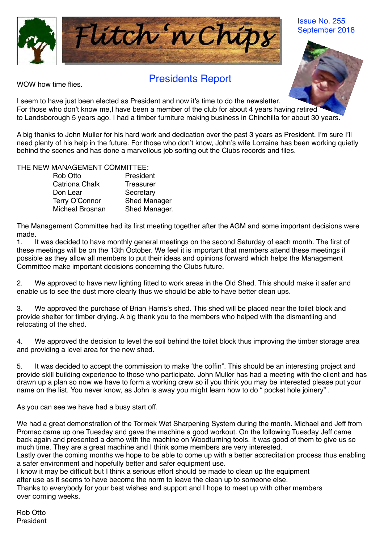

Presidents Report

WOW how time flies.

September 2018

Issue No. 255



I seem to have just been elected as President and now it's time to do the newsletter. For those who don't know me,I have been a member of the club for about 4 years having retired to Landsborough 5 years ago. I had a timber furniture making business in Chinchilla for about 30 years.

A big thanks to John Muller for his hard work and dedication over the past 3 years as President. I'm sure I'll need plenty of his help in the future. For those who don't know, John's wife Lorraine has been working quietly behind the scenes and has done a marvellous job sorting out the Clubs records and files.

THE NEW MANAGEMENT COMMITTEE:

| President           |
|---------------------|
| <b>Treasurer</b>    |
| Secretary           |
| <b>Shed Manager</b> |
| Shed Manager.       |
|                     |

The Management Committee had its first meeting together after the AGM and some important decisions were made.

1. It was decided to have monthly general meetings on the second Saturday of each month. The first of these meetings will be on the 13th October. We feel it is important that members attend these meetings if possible as they allow all members to put their ideas and opinions forward which helps the Management Committee make important decisions concerning the Clubs future.

2. We approved to have new lighting fitted to work areas in the Old Shed. This should make it safer and enable us to see the dust more clearly thus we should be able to have better clean ups.

3. We approved the purchase of Brian Harris's shed. This shed will be placed near the toilet block and provide shelter for timber drying. A big thank you to the members who helped with the dismantling and relocating of the shed.

4. We approved the decision to level the soil behind the toilet block thus improving the timber storage area and providing a level area for the new shed.

5. It was decided to accept the commission to make 'the coffin". This should be an interesting project and provide skill building experience to those who participate. John Muller has had a meeting with the client and has drawn up a plan so now we have to form a working crew so if you think you may be interested please put your name on the list. You never know, as John is away you might learn how to do " pocket hole joinery" .

As you can see we have had a busy start off.

We had a great demonstration of the Tormek Wet Sharpening System during the month. Michael and Jeff from Promac came up one Tuesday and gave the machine a good workout. On the following Tuesday Jeff came back again and presented a demo with the machine on Woodturning tools. It was good of them to give us so much time. They are a great machine and I think some members are very interested.

Lastly over the coming months we hope to be able to come up with a better accreditation process thus enabling a safer environment and hopefully better and safer equipment use.

I know it may be difficult but I think a serious effort should be made to clean up the equipment after use as it seems to have become the norm to leave the clean up to someone else.

Thanks to everybody for your best wishes and support and I hope to meet up with other members over coming weeks.

Rob Otto President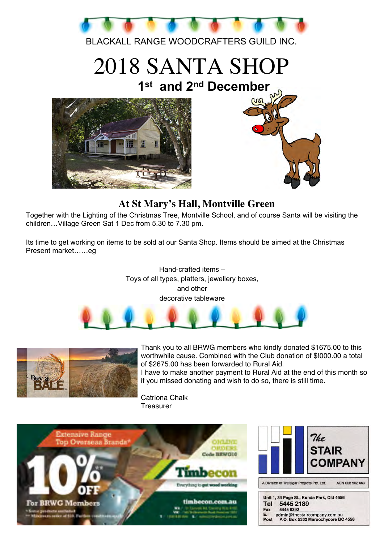

BLACKALL RANGE WOODCRAFTERS GUILD INC.

# 2018 SANTA SHOP **1st and 2nd December**





### **At St Mary's Hall, Montville Green**

Together with the Lighting of the Christmas Tree, Montville School, and of course Santa will be visiting the children…Village Green Sat 1 Dec from 5.30 to 7.30 pm.

Its time to get working on items to be sold at our Santa Shop. Items should be aimed at the Christmas Present market……eg





Thank you to all BRWG members who kindly donated \$1675.00 to this worthwhile cause. Combined with the Club donation of \$!000.00 a total of \$2675.00 has been forwarded to Rural Aid.

I have to make another payment to Rural Aid at the end of this month so if you missed donating and wish to do so, there is still time.

Catriona Chalk **Treasurer** 

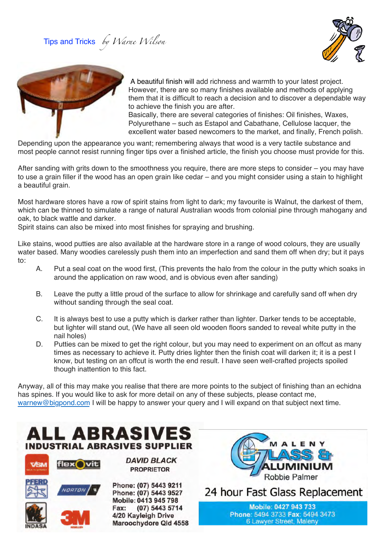Tips and Tricks *by Warne Wilson*





 A beautiful finish will add richness and warmth to your latest project. However, there are so many finishes available and methods of applying them that it is difficult to reach a decision and to discover a dependable way to achieve the finish you are after. Basically, there are several categories of finishes: Oil finishes, Waxes, Polyurethane – such as Estapol and Cabathane, Cellulose lacquer, the excellent water based newcomers to the market, and finally, French polish.

Depending upon the appearance you want; remembering always that wood is a very tactile substance and most people cannot resist running finger tips over a finished article, the finish you choose must provide for this.

After sanding with grits down to the smoothness you require, there are more steps to consider – you may have to use a grain filler if the wood has an open grain like cedar – and you might consider using a stain to highlight a beautiful grain.

Most hardware stores have a row of spirit stains from light to dark; my favourite is Walnut, the darkest of them, which can be thinned to simulate a range of natural Australian woods from colonial pine through mahogany and oak, to black wattle and darker.

Spirit stains can also be mixed into most finishes for spraying and brushing.

Like stains, wood putties are also available at the hardware store in a range of wood colours, they are usually water based. Many woodies carelessly push them into an imperfection and sand them off when dry; but it pays to:

- A. Put a seal coat on the wood first, (This prevents the halo from the colour in the putty which soaks in around the application on raw wood, and is obvious even after sanding)
- B. Leave the putty a little proud of the surface to allow for shrinkage and carefully sand off when dry without sanding through the seal coat.
- C. It is always best to use a putty which is darker rather than lighter. Darker tends to be acceptable, but lighter will stand out, (We have all seen old wooden floors sanded to reveal white putty in the nail holes)
- D. Putties can be mixed to get the right colour, but you may need to experiment on an offcut as many times as necessary to achieve it. Putty dries lighter then the finish coat will darken it; it is a pest I know, but testing on an offcut is worth the end result. I have seen well-crafted projects spoiled though inattention to this fact.

Anyway, all of this may make you realise that there are more points to the subject of finishing than an echidna has spines. If you would like to ask for more detail on any of these subjects, please contact me, [warnew@bigpond.com](mailto:warnew@bigpond.com) I will be happy to answer your query and I will expand on that subject next time.

### L ABRASIVI **INDUSTRIAL ABRASIVES SUPPLIER DAVID BLACK**



lex( **PROPRIETOR** 





Phone: (07) 5443 9211 Phone: (07) 5443 9527 Mobile: 0413 945 798 (07) 5443 5714 Fax: 4/20 Kayleigh Drive Maroochydore Qld 4558



24 hour Fast Glass Replacement

Mobile: 0427 943 733 Phone: 5494 3733 Fax: 5494 3473 6 Lawyer Street, Maleny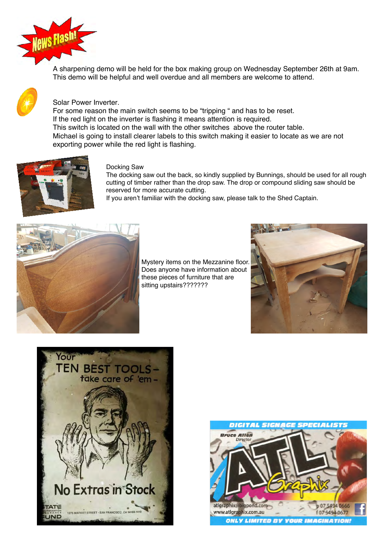

A sharpening demo will be held for the box making group on Wednesday September 26th at 9am. This demo will be helpful and well overdue and all members are welcome to attend.



#### Solar Power Inverter.

For some reason the main switch seems to be "tripping " and has to be reset. If the red light on the inverter is flashing it means attention is required. This switch is located on the wall with the other switches above the router table. Michael is going to install clearer labels to this switch making it easier to locate as we are not exporting power while the red light is flashing.



#### Docking Saw

The docking saw out the back, so kindly supplied by Bunnings, should be used for all rough cutting of timber rather than the drop saw. The drop or compound sliding saw should be reserved for more accurate cutting.

If you aren't familiar with the docking saw, please talk to the Shed Captain.



Mystery items on the Mezzanine floor. Does anyone have information about these pieces of furniture that are sitting upstairs???????





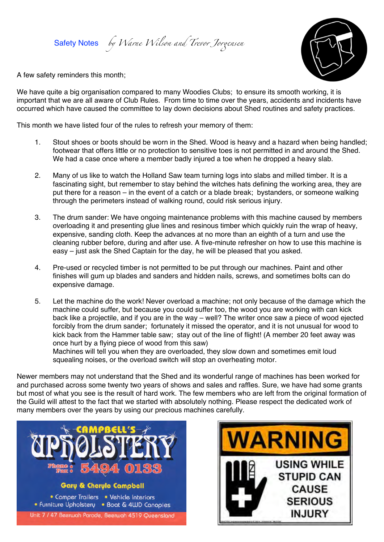Safety Notes *by Warne Wilson and Trevor Jor*g*nsen*



A few safety reminders this month;

We have quite a big organisation compared to many Woodies Clubs; to ensure its smooth working, it is important that we are all aware of Club Rules. From time to time over the years, accidents and incidents have occurred which have caused the committee to lay down decisions about Shed routines and safety practices.

This month we have listed four of the rules to refresh your memory of them:

- 1. Stout shoes or boots should be worn in the Shed. Wood is heavy and a hazard when being handled; footwear that offers little or no protection to sensitive toes is not permitted in and around the Shed. We had a case once where a member badly injured a toe when he dropped a heavy slab.
- 2. Many of us like to watch the Holland Saw team turning logs into slabs and milled timber. It is a fascinating sight, but remember to stay behind the witches hats defining the working area, they are put there for a reason – in the event of a catch or a blade break; bystanders, or someone walking through the perimeters instead of walking round, could risk serious injury.
- 3. The drum sander: We have ongoing maintenance problems with this machine caused by members overloading it and presenting glue lines and resinous timber which quickly ruin the wrap of heavy, expensive, sanding cloth. Keep the advances at no more than an eighth of a turn and use the cleaning rubber before, during and after use. A five-minute refresher on how to use this machine is easy – just ask the Shed Captain for the day, he will be pleased that you asked.
- 4. Pre-used or recycled timber is not permitted to be put through our machines. Paint and other finishes will gum up blades and sanders and hidden nails, screws, and sometimes bolts can do expensive damage.
- 5. Let the machine do the work! Never overload a machine; not only because of the damage which the machine could suffer, but because you could suffer too, the wood you are working with can kick back like a projectile, and if you are in the way – well? The writer once saw a piece of wood ejected forcibly from the drum sander; fortunately it missed the operator, and it is not unusual for wood to kick back from the Hammer table saw; stay out of the line of flight! (A member 20 feet away was once hurt by a flying piece of wood from this saw)

Machines will tell you when they are overloaded, they slow down and sometimes emit loud squealing noises, or the overload switch will stop an overheating motor.

Newer members may not understand that the Shed and its wonderful range of machines has been worked for and purchased across some twenty two years of shows and sales and raffles. Sure, we have had some grants but most of what you see is the result of hard work. The few members who are left from the original formation of the Guild will attest to the fact that we started with absolutely nothing. Please respect the dedicated work of many members over the years by using our precious machines carefully.



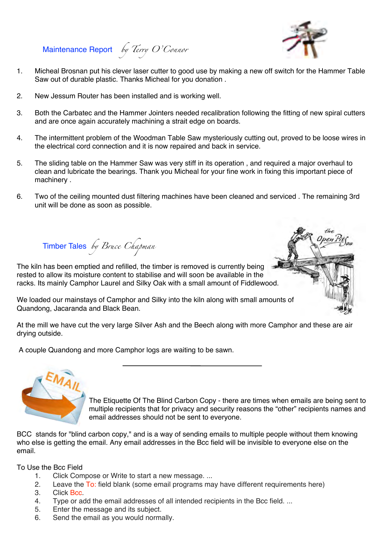## Maintenance Report *by Terry O'Connor*



- 1. Micheal Brosnan put his clever laser cutter to good use by making a new off switch for the Hammer Table Saw out of durable plastic. Thanks Micheal for you donation .
- 2. New Jessum Router has been installed and is working well.
- 3. Both the Carbatec and the Hammer Jointers needed recalibration following the fitting of new spiral cutters and are once again accurately machining a strait edge on boards.
- 4. The intermittent problem of the Woodman Table Saw mysteriously cutting out, proved to be loose wires in the electrical cord connection and it is now repaired and back in service.
- 5. The sliding table on the Hammer Saw was very stiff in its operation , and required a major overhaul to clean and lubricate the bearings. Thank you Micheal for your fine work in fixing this important piece of machinery .
- 6. Two of the ceiling mounted dust filtering machines have been cleaned and serviced . The remaining 3rd unit will be done as soon as possible.

Timber Tales *by Bruce Chapman*

The kiln has been emptied and refilled, the timber is removed is currently being rested to allow its moisture content to stabilise and will soon be available in the racks. Its mainly Camphor Laurel and Silky Oak with a small amount of Fiddlewood.

We loaded our mainstays of Camphor and Silky into the kiln along with small amounts of Quandong, Jacaranda and Black Bean.

At the mill we have cut the very large Silver Ash and the Beech along with more Camphor and these are air drying outside.

A couple Quandong and more Camphor logs are waiting to be sawn.



The Etiquette Of The Blind Carbon Copy - there are times when emails are being sent to multiple recipients that for privacy and security reasons the "other" recipients names and email addresses should not be sent to everyone.

BCC stands for "blind carbon copy," and is a way of sending emails to multiple people without them knowing who else is getting the email. Any email addresses in the Bcc field will be invisible to everyone else on the email.

To Use the Bcc Field

- 1. Click Compose or Write to start a new message. ...
- 2. Leave the To: field blank (some email programs may have different requirements here)
- 3. Click Bcc.
- 4. Type or add the email addresses of all intended recipients in the Bcc field. ...
- 5. Enter the message and its subject.
- 6. Send the email as you would normally.